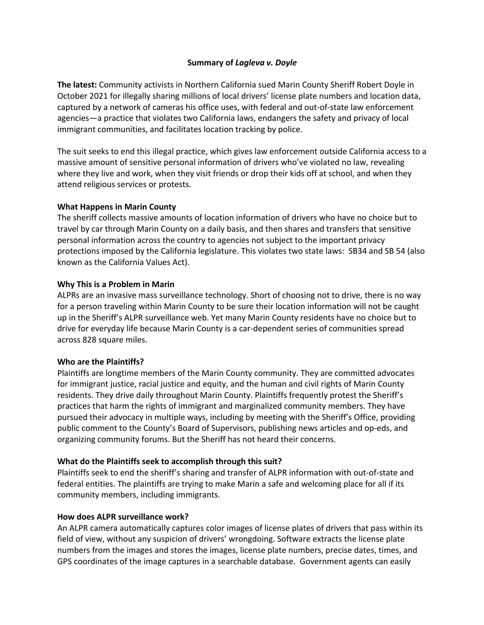## **Summary of** *Lagleva v. Doyle*

**The latest:** Community activists in Northern California sued Marin County Sheriff Robert Doyle in October 2021 for illegally sharing millions of local drivers' license plate numbers and location data, captured by a network of cameras his office uses, with federal and out-of-state law enforcement agencies—a practice that violates two California laws, endangers the safety and privacy of local immigrant communities, and facilitates location tracking by police.

The suit seeks to end this illegal practice, which gives law enforcement outside California access to a massive amount of sensitive personal information of drivers who've violated no law, revealing where they live and work, when they visit friends or drop their kids off at school, and when they attend religious services or protests.

## **What Happens in Marin County**

The sheriff collects massive amounts of location information of drivers who have no choice but to travel by car through Marin County on a daily basis, and then shares and transfers that sensitive personal information across the country to agencies not subject to the important privacy protections imposed by the California legislature. This violates two state laws: SB34 and SB 54 (also known as the California Values Act).

## **Why This is a Problem in Marin**

ALPRs are an invasive mass surveillance technology. Short of choosing not to drive, there is no way for a person traveling within Marin County to be sure their location information will not be caught up in the Sheriff's ALPR surveillance web. Yet many Marin County residents have no choice but to drive for everyday life because Marin County is a car-dependent series of communities spread across 828 square miles.

#### **Who are the Plaintiffs?**

Plaintiffs are longtime members of the Marin County community. They are committed advocates for immigrant justice, racial justice and equity, and the human and civil rights of Marin County residents. They drive daily throughout Marin County. Plaintiffs frequently protest the Sheriff's practices that harm the rights of immigrant and marginalized community members. They have pursued their advocacy in multiple ways, including by meeting with the Sheriff's Office, providing public comment to the County's Board of Supervisors, publishing news articles and op-eds, and organizing community forums. But the Sheriff has not heard their concerns.

## **What do the Plaintiffs seek to accomplish through this suit?**

Plaintiffs seek to end the sheriff's sharing and transfer of ALPR information with out-of-state and federal entities. The plaintiffs are trying to make Marin a safe and welcoming place for all if its community members, including immigrants.

#### **How does ALPR surveillance work?**

An ALPR camera automatically captures color images of license plates of drivers that pass within its field of view, without any suspicion of drivers' wrongdoing. Software extracts the license plate numbers from the images and stores the images, license plate numbers, precise dates, times, and GPS coordinates of the image captures in a searchable database. Government agents can easily